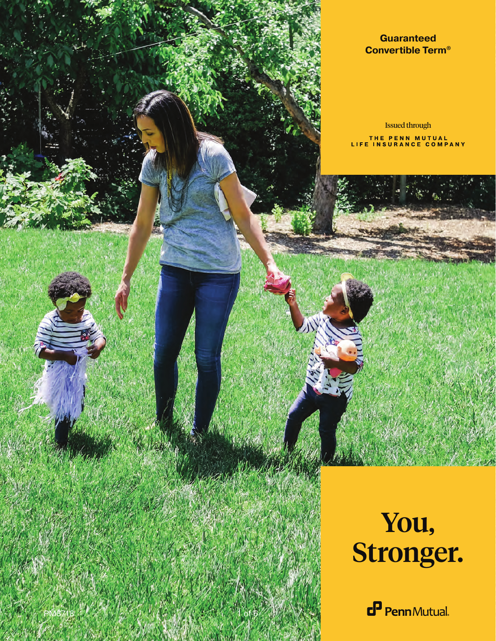

## **Guaranteed Convertible Term®**

Issued through THE PENN MUTUAL<br>LIFE INSURANCE COMPANY

## You, Stronger.

 $\mathbf{P}$  Penn Mutual.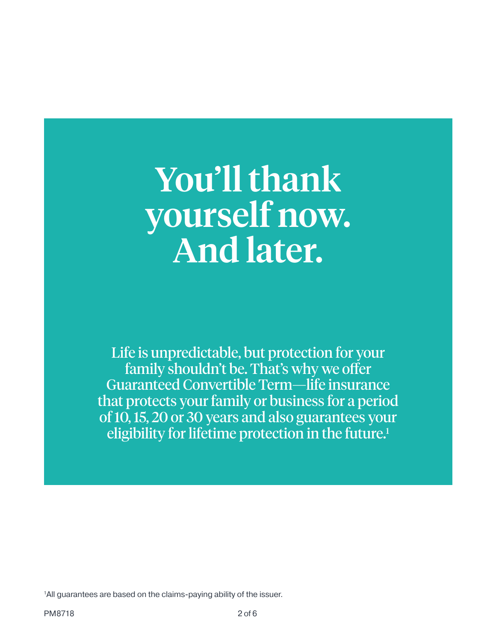# You'll thank yourself now. And later.

Life is unpredictable, but protection for your family shouldn't be. That's why we offer Guaranteed Convertible Term—life insurance that protects your family or business for a period of 10, 15, 20 or 30 years and also guarantees your eligibility for lifetime protection in the future.<sup>1</sup>

1 All guarantees are based on the claims-paying ability of the issuer.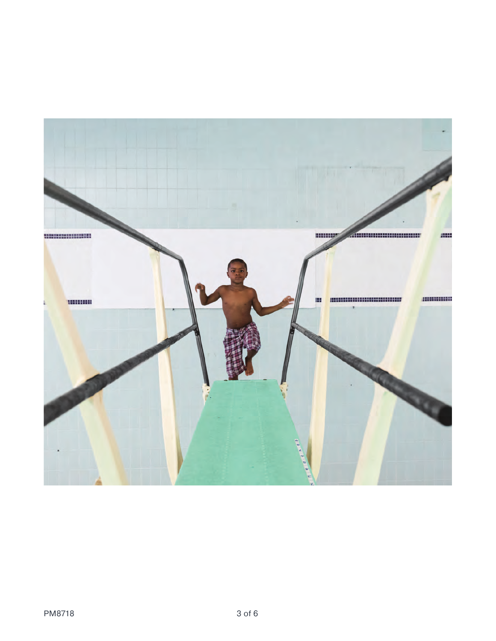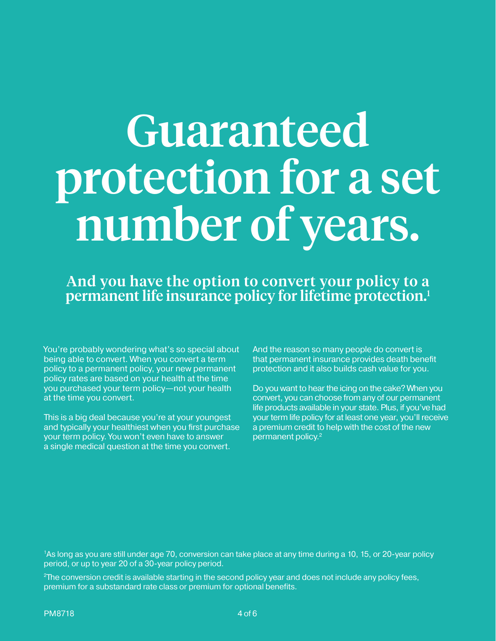# Guaranteed protection for a set number of years.

And you have the option to convert your policy to a permanent life insurance policy for lifetime protection.<sup>1</sup>

You're probably wondering what's so special about being able to convert. When you convert a term policy to a permanent policy, your new permanent policy rates are based on your health at the time you purchased your term policy—not your health at the time you convert.

This is a big deal because you're at your youngest and typically your healthiest when you first purchase your term policy. You won't even have to answer a single medical question at the time you convert.

And the reason so many people do convert is that permanent insurance provides death benefit protection and it also builds cash value for you.

Do you want to hear the icing on the cake? When you convert, you can choose from any of our permanent life products available in your state. Plus, if you've had your term life policy for at least one year, you'll receive a premium credit to help with the cost of the new permanent policy.2

1 As long as you are still under age 70, conversion can take place at any time during a 10, 15, or 20-year policy period, or up to year 20 of a 30-year policy period.

2 The conversion credit is available starting in the second policy year and does not include any policy fees, premium for a substandard rate class or premium for optional benefits.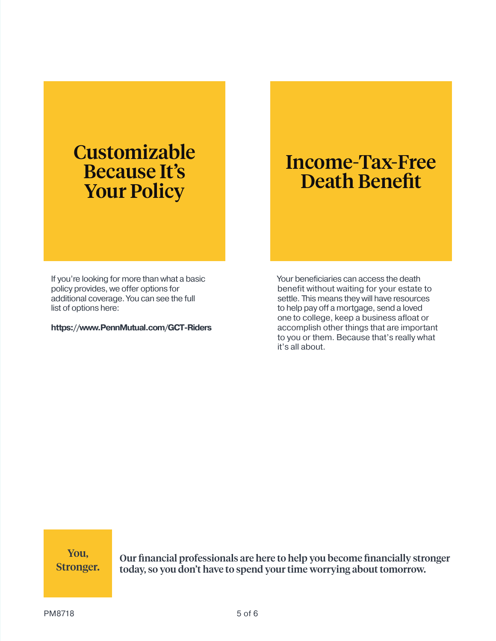## Customizable Because It's Your Policy

If you're looking for more than what a basic policy provides, we offer options for additional coverage. You can see the full list of options here:

**https://www.PennMutual.com/GCT-Riders**

Income-Tax-Free Death Benefit

Your beneficiaries can access the death benefit without waiting for your estate to settle. This means they will have resources to help pay off a mortgage, send a loved one to college, keep a business afloat or accomplish other things that are important to you or them. Because that's really what it's all about.

You, Stronger.

Our financial professionals are here to help you become financially stronger today, so you don't have to spend your time worrying about tomorrow.